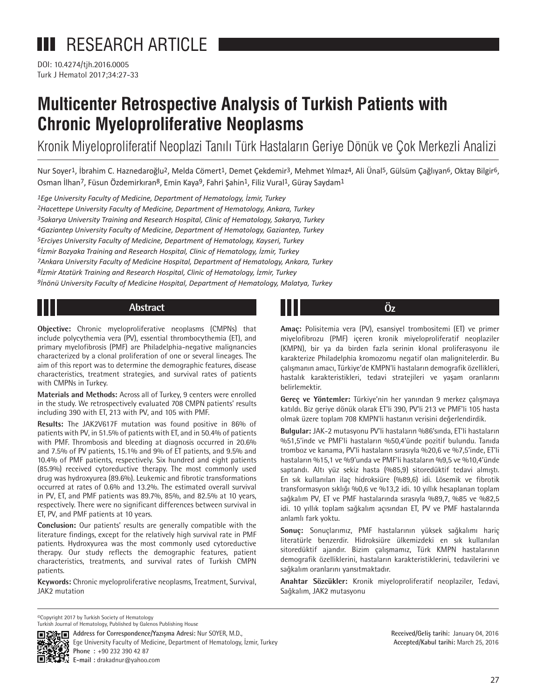# **III** RESEARCH ARTICLE

DOI: 10.4274/tjh.2016.0005 Turk J Hematol 2017;34:27-33

# **Multicenter Retrospective Analysis of Turkish Patients with Chronic Myeloproliferative Neoplasms**

Kronik Miyeloproliferatif Neoplazi Tanılı Türk Hastaların Geriye Dönük ve Çok Merkezli Analizi

Nur Soyer<sup>1</sup>, İbrahim C. Haznedaroğlu<sup>2</sup>, Melda Cömert<sup>1</sup>, Demet Çekdemir<sup>3</sup>, Mehmet Yılmaz<sup>4</sup>, Ali Ünal<sup>5</sup>, Gülsüm Çağlıyan<sup>6</sup>, Oktay Bilgir<sup>6</sup>, Osman İlhan<sup>7</sup>, Füsun Özdemirkıran<sup>8</sup>, Emin Kaya<sup>9</sup>, Fahri Şahin<sup>1</sup>, Filiz Vural<sup>1</sup>, Güray Saydam<sup>1</sup>

*1Ege University Faculty of Medicine, Department of Hematology, İzmir, Turkey 2Hacettepe University Faculty of Medicine, Department of Hematology, Ankara, Turkey 3Sakarya University Training and Research Hospital, Clinic of Hematology, Sakarya, Turkey 4Gaziantep University Faculty of Medicine, Department of Hematology, Gaziantep, Turkey 5Erciyes University Faculty of Medicine, Department of Hematology, Kayseri, Turkey 6İzmir Bozyaka Training and Research Hospital, Clinic of Hematology, İzmir, Turkey 7Ankara University Faculty of Medicine Hospital, Department of Hematology, Ankara, Turkey 8İzmir Atatürk Training and Research Hospital, Clinic of Hematology, İzmir, Turkey 9İnönü University Faculty of Medicine Hospital, Department of Hematology, Malatya, Turkey*

# **Abstract Öz**

**Objective:** Chronic myeloproliferative neoplasms (CMPNs) that include polycythemia vera (PV), essential thrombocythemia (ET), and primary myelofibrosis (PMF) are Philadelphia-negative malignancies characterized by a clonal proliferation of one or several lineages. The aim of this report was to determine the demographic features, disease characteristics, treatment strategies, and survival rates of patients with CMPNs in Turkey.

**Materials and Methods:** Across all of Turkey, 9 centers were enrolled in the study. We retrospectively evaluated 708 CMPN patients' results including 390 with ET, 213 with PV, and 105 with PMF.

**Results:** The JAK2V617F mutation was found positive in 86% of patients with PV, in 51.5% of patients with ET, and in 50.4% of patients with PMF. Thrombosis and bleeding at diagnosis occurred in 20.6% and 7.5% of PV patients, 15.1% and 9% of ET patients, and 9.5% and 10.4% of PMF patients, respectively. Six hundred and eight patients (85.9%) received cytoreductive therapy. The most commonly used drug was hydroxyurea (89.6%). Leukemic and fibrotic transformations occurred at rates of 0.6% and 13.2%. The estimated overall survival in PV, ET, and PMF patients was 89.7%, 85%, and 82.5% at 10 years, respectively. There were no significant differences between survival in ET, PV, and PMF patients at 10 years.

**Conclusion:** Our patients' results are generally compatible with the literature findings, except for the relatively high survival rate in PMF patients. Hydroxyurea was the most commonly used cytoreductive therapy. Our study reflects the demographic features, patient characteristics, treatments, and survival rates of Turkish CMPN patients.

**Keywords:** Chronic myeloproliferative neoplasms, Treatment, Survival, JAK2 mutation

**Amaç:** Polisitemia vera (PV), esansiyel trombositemi (ET) ve primer miyelofibrozu (PMF) içeren kronik miyeloproliferatif neoplaziler (KMPN), bir ya da birden fazla serinin klonal proliferasyonu ile karakterize Philadelphia kromozomu negatif olan malignitelerdir. Bu çalışmanın amacı, Türkiye'de KMPN'li hastaların demografik özellikleri, hastalık karakteristikleri, tedavi stratejileri ve yaşam oranlarını belirlemektir.

**Gereç ve Yöntemler:** Türkiye'nin her yanından 9 merkez çalışmaya katıldı. Biz geriye dönük olarak ET'li 390, PV'li 213 ve PMF'li 105 hasta olmak üzere toplam 708 KMPN'li hastanın verisini değerlendirdik.

**Bulgular:** JAK-2 mutasyonu PV'li hastaların %86'sında, ET'li hastaların %51,5'inde ve PMF'li hastaların %50,4'ünde pozitif bulundu. Tanıda tromboz ve kanama, PV'li hastaların sırasıyla %20,6 ve %7,5'inde, ET'li hastaların %15,1 ve %9'unda ve PMF'li hastaların %9,5 ve %10,4'ünde saptandı. Altı yüz sekiz hasta (%85,9) sitoredüktif tedavi almıştı. En sık kullanılan ilaç hidroksiüre (%89,6) idi. Lösemik ve fibrotik transformasyon sıklığı %0,6 ve %13,2 idi. 10 yıllık hesaplanan toplam sağkalım PV, ET ve PMF hastalarında sırasıyla %89,7, %85 ve %82,5 idi. 10 yıllık toplam sağkalım açısından ET, PV ve PMF hastalarında anlamlı fark yoktu.

**Sonuç:** Sonuçlarımız, PMF hastalarının yüksek sağkalımı hariç literatürle benzerdir. Hidroksiüre ülkemizdeki en sık kullanılan sitoredüktif ajandır. Bizim çalışmamız, Türk KMPN hastalarının demografik özelliklerini, hastaların karakteristiklerini, tedavilerini ve sağkalım oranlarını yansıtmaktadır.

**Anahtar Sözcükler:** Kronik miyeloproliferatif neoplaziler, Tedavi, Sağkalım, JAK2 mutasyonu

©Copyright 2017 by Turkish Society of Hematology Turkish Journal of Hematology, Published by Galenos Publishing House



**Address for Correspondence/Yazışma Adresi:** Nur SOYER, M.D., Ege University Faculty of Medicine, Department of Hematology, İzmir, Turkey **Phone :** +90 232 390 42 87 **E-mail :** drakadnur@yahoo.com

**Received/Geliş tarihi:** January 04, 2016 **Accepted/Kabul tarihi:** March 25, 2016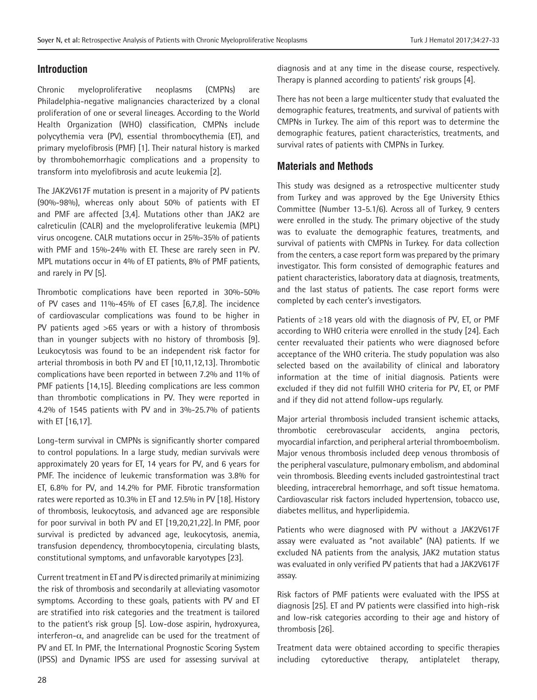# **Introduction**

Chronic myeloproliferative neoplasms (CMPNs) are Philadelphia-negative malignancies characterized by a clonal proliferation of one or several lineages. According to the World Health Organization (WHO) classification, CMPNs include polycythemia vera (PV), essential thrombocythemia (ET), and primary myelofibrosis (PMF) [1]. Their natural history is marked by thrombohemorrhagic complications and a propensity to transform into myelofibrosis and acute leukemia [2].

The JAK2V617F mutation is present in a majority of PV patients (90%-98%), whereas only about 50% of patients with ET and PMF are affected [3,4]. Mutations other than JAK2 are calreticulin (CALR) and the myeloproliferative leukemia (MPL) virus oncogene. CALR mutations occur in 25%-35% of patients with PMF and 15%-24% with ET. These are rarely seen in PV. MPL mutations occur in 4% of ET patients, 8% of PMF patients, and rarely in PV [5].

Thrombotic complications have been reported in 30%-50% of PV cases and 11%-45% of ET cases [6,7,8]. The incidence of cardiovascular complications was found to be higher in PV patients aged >65 years or with a history of thrombosis than in younger subjects with no history of thrombosis [9]. Leukocytosis was found to be an independent risk factor for arterial thrombosis in both PV and ET [10,11,12,13]. Thrombotic complications have been reported in between 7.2% and 11% of PMF patients [14,15]. Bleeding complications are less common than thrombotic complications in PV. They were reported in 4.2% of 1545 patients with PV and in 3%-25.7% of patients with ET [16,17].

Long-term survival in CMPNs is significantly shorter compared to control populations. In a large study, median survivals were approximately 20 years for ET, 14 years for PV, and 6 years for PMF. The incidence of leukemic transformation was 3.8% for ET, 6.8% for PV, and 14.2% for PMF. Fibrotic transformation rates were reported as 10.3% in ET and 12.5% in PV [18]. History of thrombosis, leukocytosis, and advanced age are responsible for poor survival in both PV and ET [19,20,21,22]. In PMF, poor survival is predicted by advanced age, leukocytosis, anemia, transfusion dependency, thrombocytopenia, circulating blasts, constitutional symptoms, and unfavorable karyotypes [23].

Current treatment in ET and PV is directed primarily at minimizing the risk of thrombosis and secondarily at alleviating vasomotor symptoms. According to these goals, patients with PV and ET are stratified into risk categories and the treatment is tailored to the patient's risk group [5]. Low-dose aspirin, hydroxyurea, interferon- $\alpha$ , and anagrelide can be used for the treatment of PV and ET. In PMF, the International Prognostic Scoring System (IPSS) and Dynamic IPSS are used for assessing survival at diagnosis and at any time in the disease course, respectively. Therapy is planned according to patients' risk groups [4].

There has not been a large multicenter study that evaluated the demographic features, treatments, and survival of patients with CMPNs in Turkey. The aim of this report was to determine the demographic features, patient characteristics, treatments, and survival rates of patients with CMPNs in Turkey.

# **Materials and Methods**

This study was designed as a retrospective multicenter study from Turkey and was approved by the Ege University Ethics Committee (Number 13-5.1/6). Across all of Turkey, 9 centers were enrolled in the study. The primary objective of the study was to evaluate the demographic features, treatments, and survival of patients with CMPNs in Turkey. For data collection from the centers, a case report form was prepared by the primary investigator. This form consisted of demographic features and patient characteristics, laboratory data at diagnosis, treatments, and the last status of patients. The case report forms were completed by each center's investigators.

Patients of ≥18 years old with the diagnosis of PV, ET, or PMF according to WHO criteria were enrolled in the study [24]. Each center reevaluated their patients who were diagnosed before acceptance of the WHO criteria. The study population was also selected based on the availability of clinical and laboratory information at the time of initial diagnosis. Patients were excluded if they did not fulfill WHO criteria for PV, ET, or PMF and if they did not attend follow-ups regularly.

Major arterial thrombosis included transient ischemic attacks, thrombotic cerebrovascular accidents, angina pectoris, myocardial infarction, and peripheral arterial thromboembolism. Major venous thrombosis included deep venous thrombosis of the peripheral vasculature, pulmonary embolism, and abdominal vein thrombosis. Bleeding events included gastrointestinal tract bleeding, intracerebral hemorrhage, and soft tissue hematoma. Cardiovascular risk factors included hypertension, tobacco use, diabetes mellitus, and hyperlipidemia.

Patients who were diagnosed with PV without a JAK2V617F assay were evaluated as "not available" (NA) patients. If we excluded NA patients from the analysis, JAK2 mutation status was evaluated in only verified PV patients that had a JAK2V617F assay.

Risk factors of PMF patients were evaluated with the IPSS at diagnosis [25]. ET and PV patients were classified into high-risk and low-risk categories according to their age and history of thrombosis [26].

Treatment data were obtained according to specific therapies including cytoreductive therapy, antiplatelet therapy,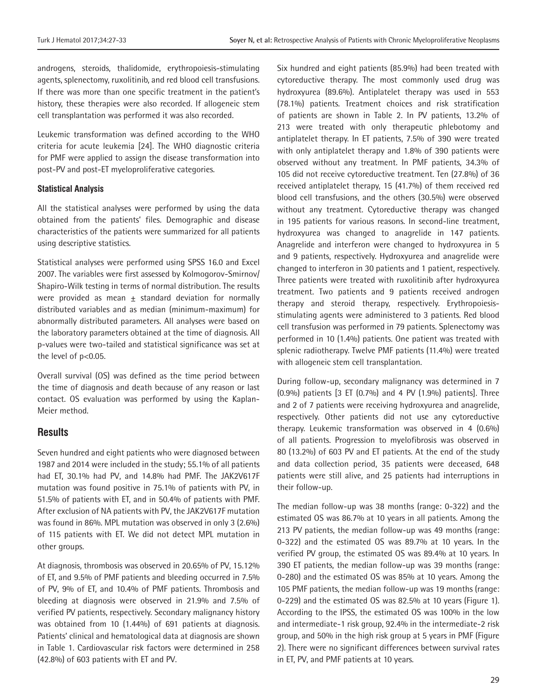androgens, steroids, thalidomide, erythropoiesis-stimulating agents, splenectomy, ruxolitinib, and red blood cell transfusions. If there was more than one specific treatment in the patient's history, these therapies were also recorded. If allogeneic stem cell transplantation was performed it was also recorded.

Leukemic transformation was defined according to the WHO criteria for acute leukemia [24]. The WHO diagnostic criteria for PMF were applied to assign the disease transformation into post-PV and post-ET myeloproliferative categories.

#### **Statistical Analysis**

All the statistical analyses were performed by using the data obtained from the patients' files. Demographic and disease characteristics of the patients were summarized for all patients using descriptive statistics.

Statistical analyses were performed using SPSS 16.0 and Excel 2007. The variables were first assessed by Kolmogorov-Smirnov/ Shapiro-Wilk testing in terms of normal distribution. The results were provided as mean  $\pm$  standard deviation for normally distributed variables and as median (minimum-maximum) for abnormally distributed parameters. All analyses were based on the laboratory parameters obtained at the time of diagnosis. All p-values were two-tailed and statistical significance was set at the level of p<0.05.

Overall survival (OS) was defined as the time period between the time of diagnosis and death because of any reason or last contact. OS evaluation was performed by using the Kaplan-Meier method.

# **Results**

Seven hundred and eight patients who were diagnosed between 1987 and 2014 were included in the study; 55.1% of all patients had ET, 30.1% had PV, and 14.8% had PMF. The JAK2V617F mutation was found positive in 75.1% of patients with PV, in 51.5% of patients with ET, and in 50.4% of patients with PMF. After exclusion of NA patients with PV, the JAK2V617F mutation was found in 86%. MPL mutation was observed in only 3 (2.6%) of 115 patients with ET. We did not detect MPL mutation in other groups.

At diagnosis, thrombosis was observed in 20.65% of PV, 15.12% of ET, and 9.5% of PMF patients and bleeding occurred in 7.5% of PV, 9% of ET, and 10.4% of PMF patients. Thrombosis and bleeding at diagnosis were observed in 21.9% and 7.5% of verified PV patients, respectively. Secondary malignancy history was obtained from 10 (1.44%) of 691 patients at diagnosis. Patients' clinical and hematological data at diagnosis are shown in Table 1. Cardiovascular risk factors were determined in 258 (42.8%) of 603 patients with ET and PV.

Six hundred and eight patients (85.9%) had been treated with cytoreductive therapy. The most commonly used drug was hydroxyurea (89.6%). Antiplatelet therapy was used in 553 (78.1%) patients. Treatment choices and risk stratification of patients are shown in Table 2. In PV patients, 13.2% of 213 were treated with only therapeutic phlebotomy and antiplatelet therapy. In ET patients, 7.5% of 390 were treated with only antiplatelet therapy and 1.8% of 390 patients were observed without any treatment. In PMF patients, 34.3% of 105 did not receive cytoreductive treatment. Ten (27.8%) of 36 received antiplatelet therapy, 15 (41.7%) of them received red blood cell transfusions, and the others (30.5%) were observed without any treatment. Cytoreductive therapy was changed in 195 patients for various reasons. In second-line treatment, hydroxyurea was changed to anagrelide in 147 patients. Anagrelide and interferon were changed to hydroxyurea in 5 and 9 patients, respectively. Hydroxyurea and anagrelide were changed to interferon in 30 patients and 1 patient, respectively. Three patients were treated with ruxolitinib after hydroxyurea treatment. Two patients and 9 patients received androgen therapy and steroid therapy, respectively. Erythropoiesisstimulating agents were administered to 3 patients. Red blood cell transfusion was performed in 79 patients. Splenectomy was performed in 10 (1.4%) patients. One patient was treated with splenic radiotherapy. Twelve PMF patients (11.4%) were treated with allogeneic stem cell transplantation.

During follow-up, secondary malignancy was determined in 7 (0.9%) patients [3 ET (0.7%) and 4 PV (1.9%) patients]. Three and 2 of 7 patients were receiving hydroxyurea and anagrelide, respectively. Other patients did not use any cytoreductive therapy. Leukemic transformation was observed in 4 (0.6%) of all patients. Progression to myelofibrosis was observed in 80 (13.2%) of 603 PV and ET patients. At the end of the study and data collection period, 35 patients were deceased, 648 patients were still alive, and 25 patients had interruptions in their follow-up.

The median follow-up was 38 months (range: 0-322) and the estimated OS was 86.7% at 10 years in all patients. Among the 213 PV patients, the median follow-up was 49 months (range: 0-322) and the estimated OS was 89.7% at 10 years. In the verified PV group, the estimated OS was 89.4% at 10 years. In 390 ET patients, the median follow-up was 39 months (range: 0-280) and the estimated OS was 85% at 10 years. Among the 105 PMF patients, the median follow-up was 19 months (range: 0-229) and the estimated OS was 82.5% at 10 years (Figure 1). According to the IPSS, the estimated OS was 100% in the low and intermediate-1 risk group, 92.4% in the intermediate-2 risk group, and 50% in the high risk group at 5 years in PMF (Figure 2). There were no significant differences between survival rates in ET, PV, and PMF patients at 10 years.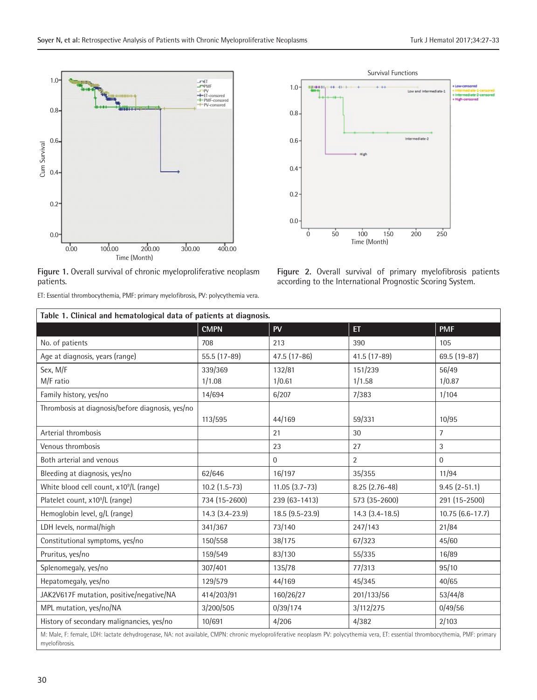

**Figure 1.** Overall survival of chronic myeloproliferative neoplasm patients.

ET: Essential thrombocythemia, PMF: primary myelofibrosis, PV: polycythemia vera.



**Figure 2.** Overall survival of primary myelofibrosis patients according to the International Prognostic Scoring System.

| Table 1. Clinical and hematological data of patients at diagnosis.                                                                                                                                |                   |                  |                       |                   |  |  |  |  |  |
|---------------------------------------------------------------------------------------------------------------------------------------------------------------------------------------------------|-------------------|------------------|-----------------------|-------------------|--|--|--|--|--|
|                                                                                                                                                                                                   | <b>CMPN</b>       | <b>PV</b>        | <b>ET</b>             | <b>PMF</b>        |  |  |  |  |  |
| No. of patients                                                                                                                                                                                   | 708               | 213              | 390                   | 105               |  |  |  |  |  |
| Age at diagnosis, years (range)                                                                                                                                                                   | 55.5 (17-89)      | 47.5 (17-86)     | 41.5 (17-89)          | 69.5 (19-87)      |  |  |  |  |  |
| Sex, M/F                                                                                                                                                                                          | 339/369           | 132/81           | 151/239               | 56/49             |  |  |  |  |  |
| M/F ratio                                                                                                                                                                                         | 1/1.08            | 1/0.61           | 1/1.58                | 1/0.87            |  |  |  |  |  |
| Family history, yes/no                                                                                                                                                                            | 14/694            | 6/207            | 7/383                 | 1/104             |  |  |  |  |  |
| Thrombosis at diagnosis/before diagnosis, yes/no                                                                                                                                                  |                   |                  |                       |                   |  |  |  |  |  |
|                                                                                                                                                                                                   | 113/595           | 44/169           | 59/331                | 10/95             |  |  |  |  |  |
| Arterial thrombosis                                                                                                                                                                               |                   | 21               | 30                    | 7                 |  |  |  |  |  |
| Venous thrombosis                                                                                                                                                                                 |                   | 23               | 27                    | $\mathfrak{Z}$    |  |  |  |  |  |
| Both arterial and venous                                                                                                                                                                          |                   | $\Omega$         | $\overline{2}$        | $\Omega$          |  |  |  |  |  |
| Bleeding at diagnosis, yes/no                                                                                                                                                                     | 62/646            | 16/197           | 35/355                | 11/94             |  |  |  |  |  |
| White blood cell count, x10 <sup>9</sup> /L (range)                                                                                                                                               | $10.2$ $(1.5-73)$ | $11.05(3.7-73)$  | $8.25(2.76-48)$       | $9.45(2-51.1)$    |  |  |  |  |  |
| Platelet count, x10 <sup>9</sup> /L (range)                                                                                                                                                       | 734 (15-2600)     | 239 (63-1413)    | 573 (35-2600)         | 291 (15-2500)     |  |  |  |  |  |
| Hemoglobin level, g/L (range)                                                                                                                                                                     | 14.3 (3.4-23.9)   | $18.5(9.5-23.9)$ | $14.3$ $(3.4 - 18.5)$ | $10.75(6.6-17.7)$ |  |  |  |  |  |
| LDH levels, normal/high                                                                                                                                                                           | 341/367           | 73/140           | 247/143               | 21/84             |  |  |  |  |  |
| Constitutional symptoms, yes/no                                                                                                                                                                   | 150/558           | 38/175           | 67/323                | 45/60             |  |  |  |  |  |
| Pruritus, yes/no                                                                                                                                                                                  | 159/549           | 83/130           | 55/335                | 16/89             |  |  |  |  |  |
| Splenomegaly, yes/no                                                                                                                                                                              | 307/401           | 135/78           | 77/313                | 95/10             |  |  |  |  |  |
| Hepatomegaly, yes/no                                                                                                                                                                              | 129/579           | 44/169           | 45/345                | 40/65             |  |  |  |  |  |
| JAK2V617F mutation, positive/negative/NA                                                                                                                                                          | 414/203/91        | 160/26/27        | 201/133/56            | 53/44/8           |  |  |  |  |  |
| MPL mutation, yes/no/NA                                                                                                                                                                           | 3/200/505         | 0/39/174         | 3/112/275             | 0/49/56           |  |  |  |  |  |
| History of secondary malignancies, yes/no                                                                                                                                                         | 10/691            | 4/206            | 4/382                 | 2/103             |  |  |  |  |  |
| M: Male, F: female, LDH: lactate dehydrogenase, NA: not available, CMPN: chronic myeloproliferative neoplasm PV: polycythemia vera, ET: essential thrombocythemia, PMF: primary<br>myelofibrosis. |                   |                  |                       |                   |  |  |  |  |  |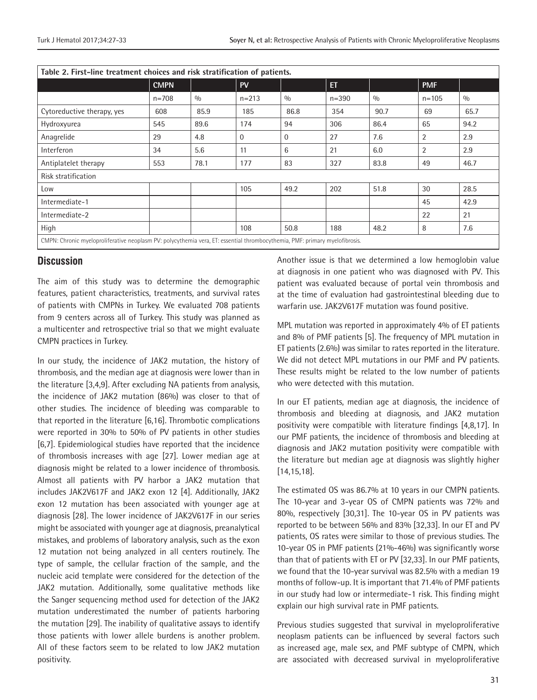| Table 2. First-line treatment choices and risk stratification of patients.                                                  |             |      |           |              |           |      |                |      |  |  |
|-----------------------------------------------------------------------------------------------------------------------------|-------------|------|-----------|--------------|-----------|------|----------------|------|--|--|
|                                                                                                                             | <b>CMPN</b> |      | <b>PV</b> |              | <b>ET</b> |      | <b>PMF</b>     |      |  |  |
|                                                                                                                             | $n = 708$   | 0/0  | $n = 213$ | 0/0          | $n = 390$ | 0/0  | $n = 105$      | 0/0  |  |  |
| Cytoreductive therapy, yes                                                                                                  | 608         | 85.9 | 185       | 86.8         | 354       | 90.7 | 69             | 65.7 |  |  |
| Hydroxyurea                                                                                                                 | 545         | 89.6 | 174       | 94           | 306       | 86.4 | 65             | 94.2 |  |  |
| Anagrelide                                                                                                                  | 29          | 4.8  | $\Omega$  | $\mathbf{0}$ | 27        | 7.6  | $\overline{2}$ | 2.9  |  |  |
| Interferon                                                                                                                  | 34          | 5.6  | 11        | 6            | 21        | 6.0  | $\overline{2}$ | 2.9  |  |  |
| Antiplatelet therapy                                                                                                        | 553         | 78.1 | 177       | 83           | 327       | 83.8 | 49             | 46.7 |  |  |
| Risk stratification                                                                                                         |             |      |           |              |           |      |                |      |  |  |
| Low                                                                                                                         |             |      | 105       | 49.2         | 202       | 51.8 | 30             | 28.5 |  |  |
| Intermediate-1                                                                                                              |             |      |           |              |           |      | 45             | 42.9 |  |  |
| Intermediate-2                                                                                                              |             |      |           |              |           |      | 22             | 21   |  |  |
| High                                                                                                                        |             |      | 108       | 50.8         | 188       | 48.2 | 8              | 7.6  |  |  |
| CMPN: Chronic myeloproliferative neoplasm PV: polycythemia vera, ET: essential thrombocythemia, PMF: primary myelofibrosis. |             |      |           |              |           |      |                |      |  |  |

#### **Discussion**

The aim of this study was to determine the demographic features, patient characteristics, treatments, and survival rates of patients with CMPNs in Turkey. We evaluated 708 patients from 9 centers across all of Turkey. This study was planned as a multicenter and retrospective trial so that we might evaluate CMPN practices in Turkey.

In our study, the incidence of JAK2 mutation, the history of thrombosis, and the median age at diagnosis were lower than in the literature [3,4,9]. After excluding NA patients from analysis, the incidence of JAK2 mutation (86%) was closer to that of other studies. The incidence of bleeding was comparable to that reported in the literature [6,16]. Thrombotic complications were reported in 30% to 50% of PV patients in other studies [6,7]. Epidemiological studies have reported that the incidence of thrombosis increases with age [27]. Lower median age at diagnosis might be related to a lower incidence of thrombosis. Almost all patients with PV harbor a JAK2 mutation that includes JAK2V617F and JAK2 exon 12 [4]. Additionally, JAK2 exon 12 mutation has been associated with younger age at diagnosis [28]. The lower incidence of JAK2V617F in our series might be associated with younger age at diagnosis, preanalytical mistakes, and problems of laboratory analysis, such as the exon 12 mutation not being analyzed in all centers routinely. The type of sample, the cellular fraction of the sample, and the nucleic acid template were considered for the detection of the JAK2 mutation. Additionally, some qualitative methods like the Sanger sequencing method used for detection of the JAK2 mutation underestimated the number of patients harboring the mutation [29]. The inability of qualitative assays to identify those patients with lower allele burdens is another problem. All of these factors seem to be related to low JAK2 mutation positivity.

Another issue is that we determined a low hemoglobin value at diagnosis in one patient who was diagnosed with PV. This patient was evaluated because of portal vein thrombosis and at the time of evaluation had gastrointestinal bleeding due to warfarin use. JAK2V617F mutation was found positive.

MPL mutation was reported in approximately 4% of ET patients and 8% of PMF patients [5]. The frequency of MPL mutation in ET patients (2.6%) was similar to rates reported in the literature. We did not detect MPL mutations in our PMF and PV patients. These results might be related to the low number of patients who were detected with this mutation.

In our ET patients, median age at diagnosis, the incidence of thrombosis and bleeding at diagnosis, and JAK2 mutation positivity were compatible with literature findings [4,8,17]. In our PMF patients, the incidence of thrombosis and bleeding at diagnosis and JAK2 mutation positivity were compatible with the literature but median age at diagnosis was slightly higher [14,15,18].

The estimated OS was 86.7% at 10 years in our CMPN patients. The 10-year and 3-year OS of CMPN patients was 72% and 80%, respectively [30,31]. The 10-year OS in PV patients was reported to be between 56% and 83% [32,33]. In our ET and PV patients, OS rates were similar to those of previous studies. The 10-year OS in PMF patients (21%-46%) was significantly worse than that of patients with ET or PV [32,33]. In our PMF patients, we found that the 10-year survival was 82.5% with a median 19 months of follow-up. It is important that 71.4% of PMF patients in our study had low or intermediate-1 risk. This finding might explain our high survival rate in PMF patients.

Previous studies suggested that survival in myeloproliferative neoplasm patients can be influenced by several factors such as increased age, male sex, and PMF subtype of CMPN, which are associated with decreased survival in myeloproliferative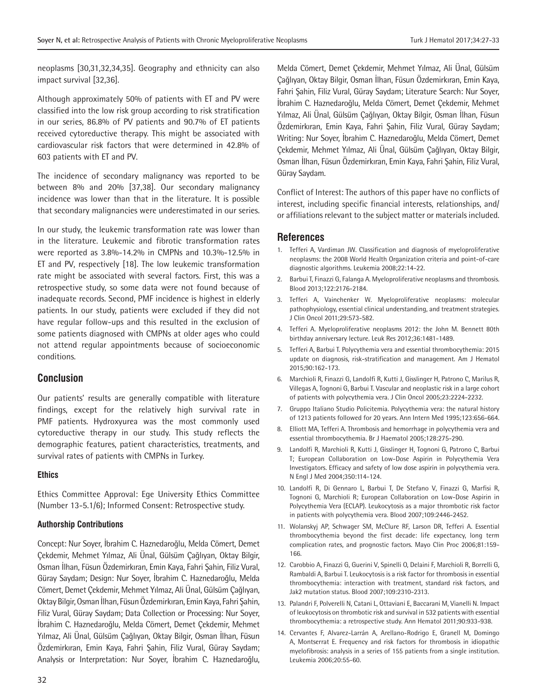neoplasms [30,31,32,34,35]. Geography and ethnicity can also impact survival [32,36].

Although approximately 50% of patients with ET and PV were classified into the low risk group according to risk stratification in our series, 86.8% of PV patients and 90.7% of ET patients received cytoreductive therapy. This might be associated with cardiovascular risk factors that were determined in 42.8% of 603 patients with ET and PV.

The incidence of secondary malignancy was reported to be between 8% and 20% [37,38]. Our secondary malignancy incidence was lower than that in the literature. It is possible that secondary malignancies were underestimated in our series.

In our study, the leukemic transformation rate was lower than in the literature. Leukemic and fibrotic transformation rates were reported as 3.8%-14.2% in CMPNs and 10.3%-12.5% in ET and PV, respectively [18]. The low leukemic transformation rate might be associated with several factors. First, this was a retrospective study, so some data were not found because of inadequate records. Second, PMF incidence is highest in elderly patients. In our study, patients were excluded if they did not have regular follow-ups and this resulted in the exclusion of some patients diagnosed with CMPNs at older ages who could not attend regular appointments because of socioeconomic conditions.

## **Conclusion**

Our patients' results are generally compatible with literature findings, except for the relatively high survival rate in PMF patients. Hydroxyurea was the most commonly used cytoreductive therapy in our study. This study reflects the demographic features, patient characteristics, treatments, and survival rates of patients with CMPNs in Turkey.

#### **Ethics**

Ethics Committee Approval: Ege University Ethics Committee (Number 13-5.1/6); Informed Consent: Retrospective study.

#### **Authorship Contributions**

Concept: Nur Soyer, İbrahim C. Haznedaroğlu, Melda Cömert, Demet Çekdemir, Mehmet Yılmaz, Ali Ünal, Gülsüm Çağlıyan, Oktay Bilgir, Osman İlhan, Füsun Özdemirkıran, Emin Kaya, Fahri Şahin, Filiz Vural, Güray Saydam; Design: Nur Soyer, İbrahim C. Haznedaroğlu, Melda Cömert, Demet Çekdemir, Mehmet Yılmaz, Ali Ünal, Gülsüm Çağlıyan, Oktay Bilgir, Osman İlhan, Füsun Özdemirkıran, Emin Kaya, Fahri Şahin, Filiz Vural, Güray Saydam; Data Collection or Processing: Nur Soyer, İbrahim C. Haznedaroğlu, Melda Cömert, Demet Çekdemir, Mehmet Yılmaz, Ali Ünal, Gülsüm Çağlıyan, Oktay Bilgir, Osman İlhan, Füsun Özdemirkıran, Emin Kaya, Fahri Şahin, Filiz Vural, Güray Saydam; Analysis or Interpretation: Nur Soyer, İbrahim C. Haznedaroğlu,

Melda Cömert, Demet Çekdemir, Mehmet Yılmaz, Ali Ünal, Gülsüm Çağlıyan, Oktay Bilgir, Osman İlhan, Füsun Özdemirkıran, Emin Kaya, Fahri Şahin, Filiz Vural, Güray Saydam; Literature Search: Nur Soyer, İbrahim C. Haznedaroğlu, Melda Cömert, Demet Çekdemir, Mehmet Yılmaz, Ali Ünal, Gülsüm Çağlıyan, Oktay Bilgir, Osman İlhan, Füsun Özdemirkıran, Emin Kaya, Fahri Şahin, Filiz Vural, Güray Saydam; Writing: Nur Soyer, İbrahim C. Haznedaroğlu, Melda Cömert, Demet Çekdemir, Mehmet Yılmaz, Ali Ünal, Gülsüm Çağlıyan, Oktay Bilgir, Osman İlhan, Füsun Özdemirkıran, Emin Kaya, Fahri Şahin, Filiz Vural, Güray Saydam.

Conflict of Interest: The authors of this paper have no conflicts of interest, including specific financial interests, relationships, and/ or affiliations relevant to the subject matter or materials included.

#### **References**

- 1. Tefferi A, Vardiman JW. Classification and diagnosis of myeloproliferative neoplasms: the 2008 World Health Organization criteria and point-of-care diagnostic algorithms. Leukemia 2008;22:14-22.
- 2. Barbui T, Finazzi G, Falanga A. Myeloproliferative neoplasms and thrombosis. Blood 2013;122:2176-2184.
- 3. Tefferi A, Vainchenker W. Myeloproliferative neoplasms: molecular pathophysiology, essential clinical understanding, and treatment strategies. J Clin Oncol 2011;29:573-582.
- 4. Tefferi A. Myeloproliferative neoplasms 2012: the John M. Bennett 80th birthday anniversary lecture. Leuk Res 2012;36:1481-1489.
- 5. Tefferi A, Barbui T. Polycythemia vera and essential thrombocythemia: 2015 update on diagnosis, risk-stratification and management. Am J Hematol 2015;90:162-173.
- 6. Marchioli R, Finazzi G, Landolfi R, Kutti J, Gisslinger H, Patrono C, Marilus R, Villegas A, Tognoni G, Barbui T. Vascular and neoplastic risk in a large cohort of patients with polycythemia vera. J Clin Oncol 2005;23:2224-2232.
- 7. Gruppo Italiano Studio Policitemia. Polycythemia vera: the natural history of 1213 patients followed for 20 years. Ann Intern Med 1995;123:656-664.
- 8. Elliott MA, Tefferi A. Thrombosis and hemorrhage in polycythemia vera and essential thrombocythemia. Br J Haematol 2005;128:275-290.
- 9. Landolfi R, Marchioli R, Kutti J, Gisslinger H, Tognoni G, Patrono C, Barbui T; European Collaboration on Low-Dose Aspirin in Polycythemia Vera Investigators. Efficacy and safety of low dose aspirin in polycythemia vera. N Engl J Med 2004;350:114-124.
- 10. Landolfi R, Di Gennaro L, Barbui T, De Stefano V, Finazzi G, Marfisi R, Tognoni G, Marchioli R; European Collaboration on Low-Dose Aspirin in Polycythemia Vera (ECLAP). Leukocytosis as a major thrombotic risk factor in patients with polycythemia vera. Blood 2007;109:2446-2452.
- 11. Wolanskyj AP, Schwager SM, McClure RF, Larson DR, Tefferi A. Essential thrombocythemia beyond the first decade: life expectancy, long term complication rates, and prognostic factors. Mayo Clin Proc 2006;81:159- 166.
- 12. Carobbio A, Finazzi G, Guerini V, Spinelli O, Delaini F, Marchioli R, Borrelli G, Rambaldi A, Barbui T. Leukocytosis is a risk factor for thrombosis in essential thrombocythemia: interaction with treatment, standard risk factors, and Jak2 mutation status. Blood 2007;109:2310-2313.
- 13. Palandri F, Polverelli N, Catani L, Ottaviani E, Baccarani M, Vianelli N. Impact of leukocytosis on thrombotic risk and survival in 532 patients with essential thrombocythemia: a retrospective study. Ann Hematol 2011;90:933-938.
- 14. Cervantes F, Alvarez-Larrán A, Arellano-Rodrigo E, Granell M, Domingo A, Montserrat E. Frequency and risk factors for thrombosis in idiopathic myelofibrosis: analysis in a series of 155 patients from a single institution. Leukemia 2006;20:55-60.